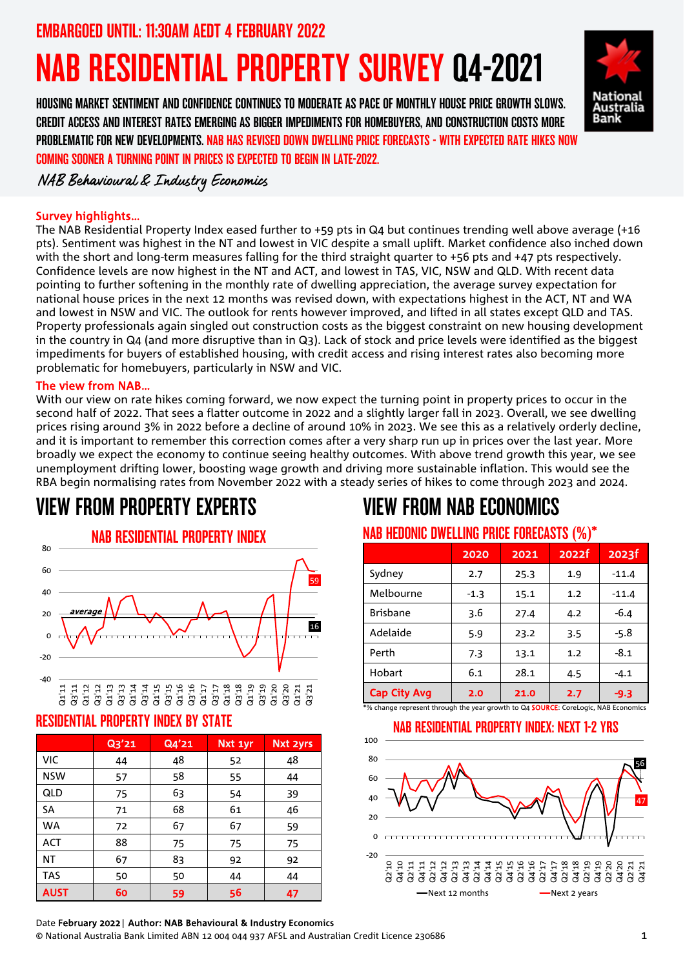EMBARGOED UNTIL: 11:30AM AEDT 4 FEBRUARY 2022

# NAB RESIDENTIAL PROPERTY SURVEY Q4-2021

HOUSING MARKET SENTIMENT AND CONFIDENCE CONTINUES TO MODERATE AS PACE OF MONTHLY HOUSE PRICE GROWTH SLOWS. CREDIT ACCESS AND INTEREST RATES EMERGING AS BIGGER IMPEDIMENTS FOR HOMEBUYERS, AND CONSTRUCTION COSTS MORE PROBLEMATIC FOR NEW DEVELOPMENTS. NAB HAS REVISED DOWN DWELLING PRICE FORECASTS - WITH EXPECTED RATE HIKES NOW COMING SOONER A TURNING POINT IN PRICES IS EXPECTED TO BEGIN IN LATE-2022.



NAB Behavioural & Industry Economics

## Survey highlights…

The NAB Residential Property Index eased further to +59 pts in Q4 but continues trending well above average (+16 pts). Sentiment was highest in the NT and lowest in VIC despite a small uplift. Market confidence also inched down with the short and long-term measures falling for the third straight quarter to +56 pts and +47 pts respectively. Confidence levels are now highest in the NT and ACT, and lowest in TAS, VIC, NSW and QLD. With recent data pointing to further softening in the monthly rate of dwelling appreciation, the average survey expectation for national house prices in the next 12 months was revised down, with expectations highest in the ACT, NT and WA and lowest in NSW and VIC. The outlook for rents however improved, and lifted in all states except QLD and TAS. Property professionals again singled out construction costs as the biggest constraint on new housing development in the country in Q4 (and more disruptive than in Q3). Lack of stock and price levels were identified as the biggest impediments for buyers of established housing, with credit access and rising interest rates also becoming more problematic for homebuyers, particularly in NSW and VIC.

#### The view from NAB…

With our view on rate hikes coming forward, we now expect the turning point in property prices to occur in the second half of 2022. That sees a flatter outcome in 2022 and a slightly larger fall in 2023. Overall, we see dwelling prices rising around 3% in 2022 before a decline of around 10% in 2023. We see this as a relatively orderly decline, and it is important to remember this correction comes after a very sharp run up in prices over the last year. More broadly we expect the economy to continue seeing healthy outcomes. With above trend growth this year, we see unemployment drifting lower, boosting wage growth and driving more sustainable inflation. This would see the RBA begin normalising rates from November 2022 with a steady series of hikes to come through 2023 and 2024.

## VIEW FROM PROPERTY EXPERTS



#### Q1'11 Q3'11 Q1'12 Q3'12 Q1'13 Q3'13 Q1'14 Q3'14 Q1'15 Q3'15 Q1'16 Q3'16 Q1'17 Q3'17 Q1'18 Q3'18 Q1'19 Q1'20

#### RESIDENTIAL PROPERTY INDEX BY STATE

|             | Q3'21 | Q4'21 | Nxt 1yr | Nxt 2yrs |
|-------------|-------|-------|---------|----------|
| <b>VIC</b>  | 44    | 48    | 52      | 48       |
| <b>NSW</b>  | 57    | 58    | 55      | 44       |
| QLD         | 75    | 63    | 54      | 39       |
| <b>SA</b>   | 71    | 68    | 61      | 46       |
| <b>WA</b>   | 72    | 67    | 67      | 59       |
| <b>ACT</b>  | 88    | 75    | 75      | 75       |
| ΝT          | 67    | 83    | 92      | 92       |
| <b>TAS</b>  | 50    | 50    | 44      | 44       |
| <b>AUST</b> | 60    | 59    | 56      | 47       |

# VIEW FROM NAB ECONOMICS

### NAB HEDONIC DWELLING PRICE FORECASTS (%)\*

|                     | 2020   | 2021 | 2022f | 2023f   |
|---------------------|--------|------|-------|---------|
| Sydney              | 2.7    | 25.3 | 1.9   | $-11.4$ |
| Melbourne           | $-1.3$ | 15.1 | 1.2   | $-11.4$ |
| <b>Brisbane</b>     | 3.6    | 27.4 | 4.2   | $-6.4$  |
| Adelaide            | 5.9    | 23.2 | 3.5   | -5.8    |
| Perth               | 7.3    | 13.1 | 1.2   | $-8.1$  |
| Hobart              | 6.1    | 28.1 | 4.5   | $-4.1$  |
| <b>Cap City Avg</b> | 2.0    | 21.0 | 2.7   | $-9.3$  |

\*% change represent through the year growth to Q4 SOURCE: CoreLogic, NAB Economics





#### Date February 2022| Author: NAB Behavioural & Industry **Economics**

© National Australia Bank Limited ABN 12 004 044 937 AFSL and Australian Credit Licence 230686 1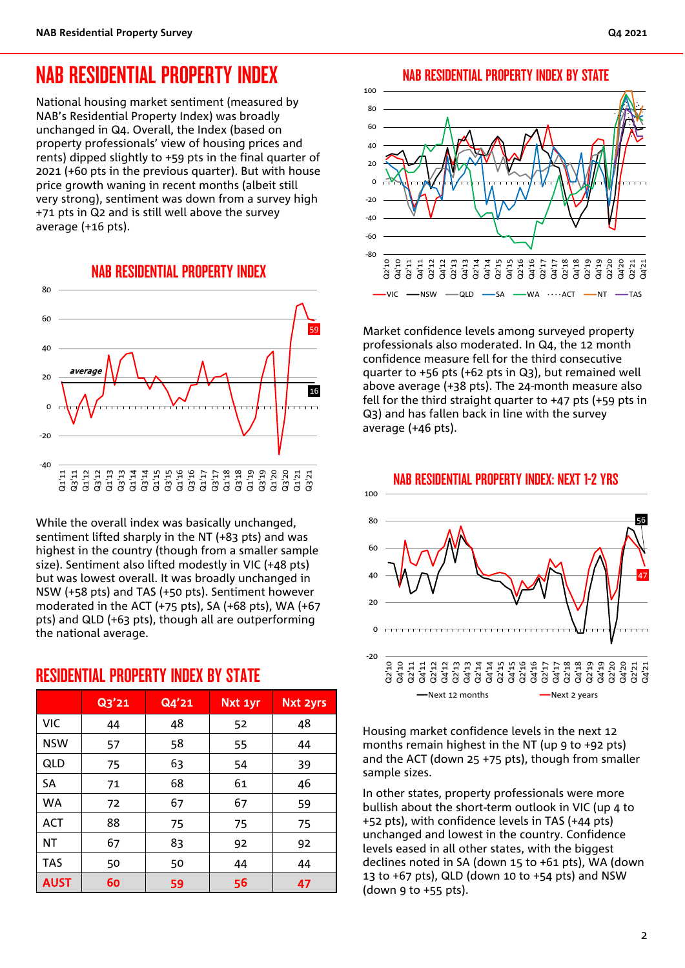### NAB RESIDENTIAL PROPERTY INDEX

National housing market sentiment (measured by NAB's Residential Property Index) was broadly unchanged in Q4. Overall, the Index (based on property professionals' view of housing prices and rents) dipped slightly to +59 pts in the final quarter of 2021 (+60 pts in the previous quarter). But with house price growth waning in recent months (albeit still very strong), sentiment was down from a survey high +71 pts in Q2 and is still well above the survey average (+16 pts).



While the overall index was basically unchanged, sentiment lifted sharply in the NT (+83 pts) and was highest in the country (though from a smaller sample size). Sentiment also lifted modestly in VIC (+48 pts) but was lowest overall. It was broadly unchanged in NSW (+58 pts) and TAS (+50 pts). Sentiment however moderated in the ACT (+75 pts), SA (+68 pts), WA (+67 pts) and QLD (+63 pts), though all are outperforming the national average.

#### RESIDENTIAL PROPERTY INDEX BY STATE

|             | Q3'21 | Q4'21 | Nxt 1yr | <b>Nxt 2yrs</b> |
|-------------|-------|-------|---------|-----------------|
| <b>VIC</b>  | 44    | 48    | 52      | 48              |
| <b>NSW</b>  | 57    | 58    | 55      | 44              |
| QLD         | 75    | 63    | 54      | 39              |
| SΑ          | 71    | 68    | 61      | 46              |
| <b>WA</b>   | 72    | 67    | 67      | 59              |
| ACT         | 88    | 75    | 75      | 75              |
| NT          | 67    | 83    | 92      | 92              |
| <b>TAS</b>  | 50    | 50    | 44      | 44              |
| <b>AUST</b> | 60    | 59    | 56      | 47              |

#### NAB RESIDENTIAL PROPERTY INDEX BY STATE



Market confidence levels among surveyed property professionals also moderated. In Q4, the 12 month confidence measure fell for the third consecutive quarter to +56 pts (+62 pts in Q3), but remained well above average (+38 pts). The 24-month measure also fell for the third straight quarter to +47 pts (+59 pts in Q3) and has fallen back in line with the survey average (+46 pts).



Housing market confidence levels in the next 12 months remain highest in the NT (up 9 to +92 pts) and the ACT (down 25 +75 pts), though from smaller sample sizes.

In other states, property professionals were more bullish about the short-term outlook in VIC (up 4 to +52 pts), with confidence levels in TAS (+44 pts) unchanged and lowest in the country. Confidence levels eased in all other states, with the biggest declines noted in SA (down 15 to +61 pts), WA (down 13 to +67 pts), QLD (down 10 to +54 pts) and NSW (down 9 to +55 pts).

#### NAB RESIDENTIAL PROPERTY INDEX: NEXT 1-2 YRS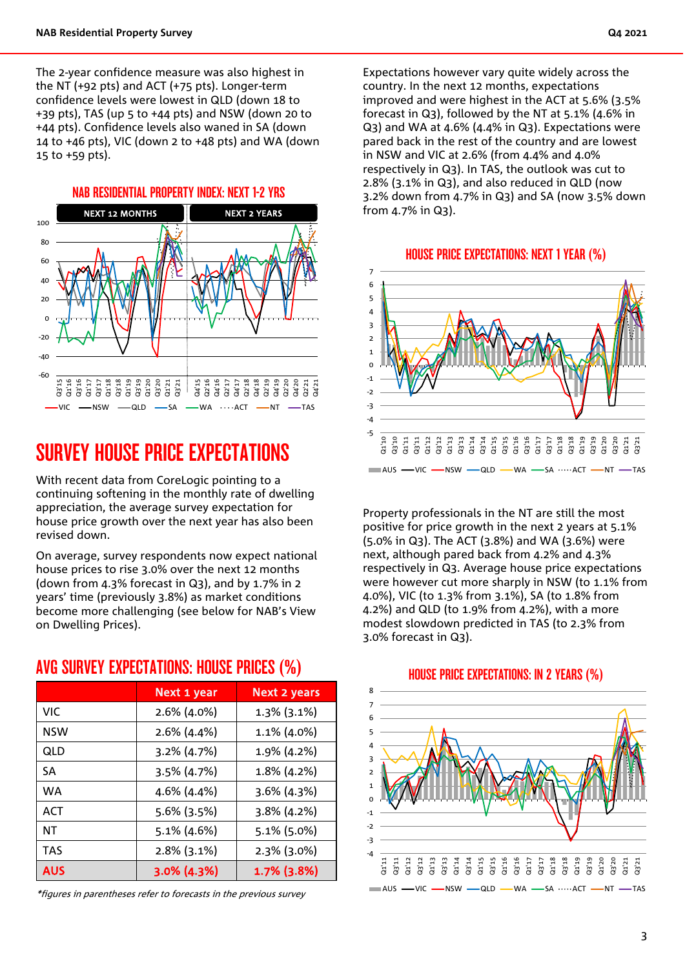The 2-year confidence measure was also highest in the NT (+92 pts) and ACT (+75 pts). Longer-term confidence levels were lowest in QLD (down 18 to +39 pts), TAS (up 5 to +44 pts) and NSW (down 20 to +44 pts). Confidence levels also waned in SA (down 14 to +46 pts), VIC (down 2 to +48 pts) and WA (down 15 to +59 pts).



## SURVEY HOUSE PRICE EXPECTATIONS

With recent data from CoreLogic pointing to a continuing softening in the monthly rate of dwelling appreciation, the average survey expectation for house price growth over the next year has also been revised down.

On average, survey respondents now expect national house prices to rise 3.0% over the next 12 months (down from 4.3% forecast in Q3), and by 1.7% in 2 years' time (previously 3.8%) as market conditions become more challenging (see below for NAB's View on Dwelling Prices).

|            | Next 1 year    | Next 2 years   |
|------------|----------------|----------------|
| VIC.       | 2.6% (4.0%)    | $1.3\%$ (3.1%) |
| <b>NSW</b> | 2.6% (4.4%)    | 1.1% (4.0%)    |
| QLD        | $3.2\%$ (4.7%) | 1.9% (4.2%)    |
| <b>SA</b>  | $3.5\%$ (4.7%) | 1.8% (4.2%)    |
| WA         | 4.6% (4.4%)    | $3.6\%$ (4.3%) |
| <b>ACT</b> | 5.6% (3.5%)    | $3.8\%$ (4.2%) |
| NT         | $5.1\%$ (4.6%) | 5.1% (5.0%)    |
| <b>TAS</b> | 2.8% (3.1%)    | $2.3\%$ (3.0%) |
| <b>AUS</b> | $3.0\%$ (4.3%) | 1.7% (3.8%)    |

#### AVG SURVEY EXPECTATIONS: HOUSE PRICES (%)

\*figures in parentheses refer to forecasts in the previous survey

Expectations however vary quite widely across the country. In the next 12 months, expectations improved and were highest in the ACT at 5.6% (3.5% forecast in Q3), followed by the NT at 5.1% (4.6% in Q3) and WA at 4.6% (4.4% in Q3). Expectations were pared back in the rest of the country and are lowest in NSW and VIC at 2.6% (from 4.4% and 4.0% respectively in Q3). In TAS, the outlook was cut to 2.8% (3.1% in Q3), and also reduced in QLD (now 3.2% down from 4.7% in Q3) and SA (now 3.5% down from 4.7% in Q3).

HOUSE PRICE EXPECTATIONS: NEXT 1 YEAR (%)



Property professionals in the NT are still the most positive for price growth in the next 2 years at 5.1% (5.0% in Q3). The ACT (3.8%) and WA (3.6%) were next, although pared back from 4.2% and 4.3% respectively in Q3. Average house price expectations were however cut more sharply in NSW (to 1.1% from 4.0%), VIC (to 1.3% from 3.1%), SA (to 1.8% from 4.2%) and QLD (to 1.9% from 4.2%), with a more modest slowdown predicted in TAS (to 2.3% from 3.0% forecast in Q3).



#### HOUSE PRICE EXPECTATIONS: IN 2 YEARS (%)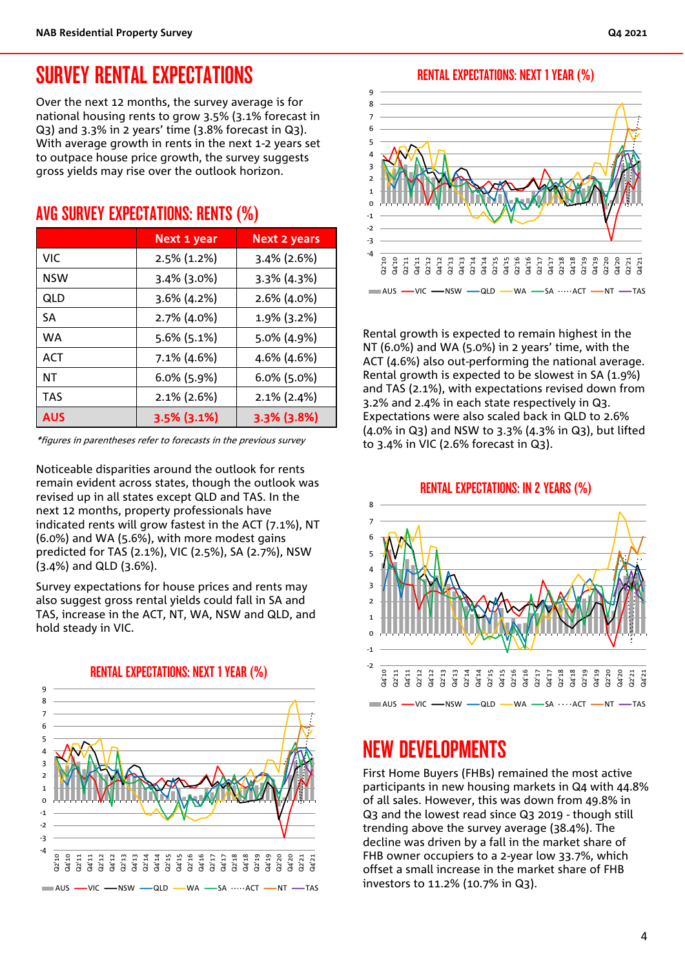### SURVEY RENTAL EXPECTATIONS

Over the next 12 months, the survey average is for national housing rents to grow 3.5% (3.1% forecast in Q3) and 3.3% in 2 years' time (3.8% forecast in Q3). With average growth in rents in the next 1-2 years set to outpace house price growth, the survey suggests gross yields may rise over the outlook horizon.

#### AVG SURVEY EXPECTATIONS: RENTS (%)

|            | Next 1 year    | <b>Next 2 years</b> |
|------------|----------------|---------------------|
| VIC.       | 2.5% (1.2%)    | $3.4\%$ (2.6%)      |
| NSW        | $3.4\%$ (3.0%) | 3.3% (4.3%)         |
| QLD        | $3.6\%$ (4.2%) | 2.6% (4.0%)         |
| SА         | 2.7% (4.0%)    | 1.9% (3.2%)         |
| <b>WA</b>  | $5.6\%$ (5.1%) | 5.0% (4.9%)         |
| <b>ACT</b> | $7.1\%$ (4.6%) | 4.6% (4.6%)         |
| ΝT         | $6.0\%$ (5.9%) | $6.0\%$ (5.0%)      |
| <b>TAS</b> | $2.1\%$ (2.6%) | $2.1\%$ (2.4%)      |
| <b>AUS</b> | $3.5\%$ (3.1%) | $3.3\%$ (3.8%)      |

\*figures in parentheses refer to forecasts in the previous survey

Noticeable disparities around the outlook for rents remain evident across states, though the outlook was revised up in all states except QLD and TAS. In the next 12 months, property professionals have indicated rents will grow fastest in the ACT (7.1%), NT (6.0%) and WA (5.6%), with more modest gains predicted for TAS (2.1%), VIC (2.5%), SA (2.7%), NSW (3.4%) and QLD (3.6%).

Survey expectations for house prices and rents may also suggest gross rental yields could fall in SA and TAS, increase in the ACT, NT, WA, NSW and QLD, and hold steady in VIC.



RENTAL EXPECTATIONS: NEXT 1 YEAR (%)



Rental growth is expected to remain highest in the NT (6.0%) and WA (5.0%) in 2 years' time, with the ACT (4.6%) also out-performing the national average. Rental growth is expected to be slowest in SA (1.9%) and TAS (2.1%), with expectations revised down from 3.2% and 2.4% in each state respectively in Q3. Expectations were also scaled back in QLD to 2.6% (4.0% in Q3) and NSW to 3.3% (4.3% in Q3), but lifted to 3.4% in VIC (2.6% forecast in Q3).

#### RENTAL EXPECTATIONS: IN 2 YEARS (%)



### NEW DEVELOPMENTS

First Home Buyers (FHBs) remained the most active participants in new housing markets in Q4 with 44.8% of all sales. However, this was down from 49.8% in Q3 and the lowest read since Q3 2019 - though still trending above the survey average (38.4%). The decline was driven by a fall in the market share of FHB owner occupiers to a 2-year low 33.7%, which offset a small increase in the market share of FHB investors to 11.2% (10.7% in Q3).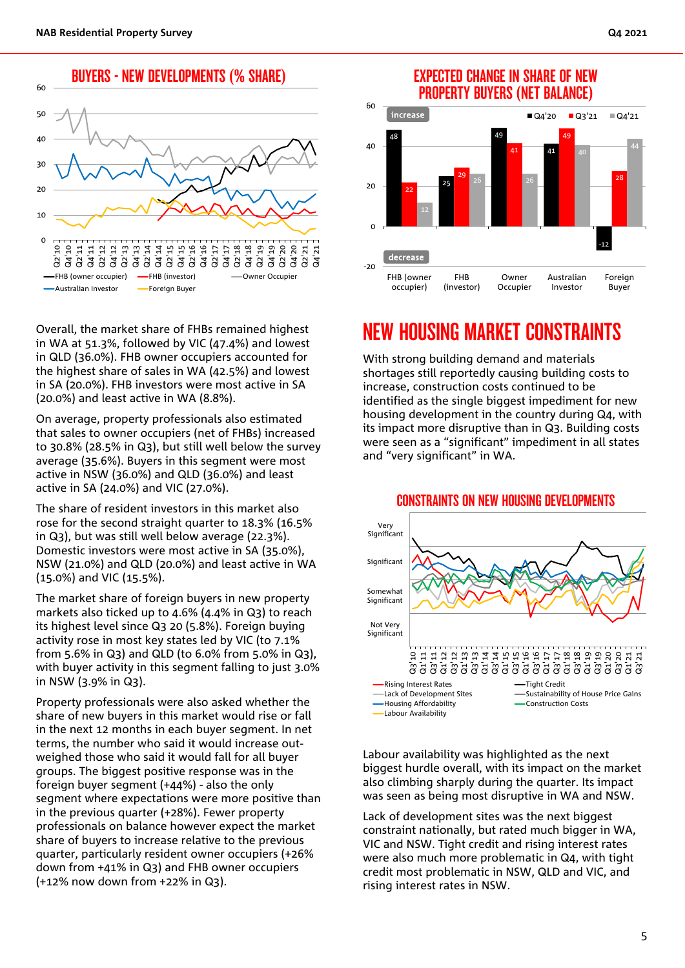BUYERS - NEW DEVELOPMENTS (% SHARE)



Overall, the market share of FHBs remained highest in WA at 51.3%, followed by VIC (47.4%) and lowest in QLD (36.0%). FHB owner occupiers accounted for the highest share of sales in WA (42.5%) and lowest in SA (20.0%). FHB investors were most active in SA (20.0%) and least active in WA (8.8%).

On average, property professionals also estimated that sales to owner occupiers (net of FHBs) increased to 30.8% (28.5% in Q3), but still well below the survey average (35.6%). Buyers in this segment were most active in NSW (36.0%) and QLD (36.0%) and least active in SA (24.0%) and VIC (27.0%).

The share of resident investors in this market also rose for the second straight quarter to 18.3% (16.5% in Q3), but was still well below average (22.3%). Domestic investors were most active in SA (35.0%), NSW (21.0%) and QLD (20.0%) and least active in WA (15.0%) and VIC (15.5%).

The market share of foreign buyers in new property markets also ticked up to 4.6% (4.4% in Q3) to reach its highest level since Q3 20 (5.8%). Foreign buying activity rose in most key states led by VIC (to 7.1% from 5.6% in Q3) and QLD (to 6.0% from 5.0% in Q3), with buyer activity in this segment falling to just 3.0% in NSW (3.9% in Q3).

Property professionals were also asked whether the share of new buyers in this market would rise or fall in the next 12 months in each buyer segment. In net terms, the number who said it would increase outweighed those who said it would fall for all buyer groups. The biggest positive response was in the foreign buyer segment (+44%) - also the only segment where expectations were more positive than in the previous quarter (+28%). Fewer property professionals on balance however expect the market share of buyers to increase relative to the previous quarter, particularly resident owner occupiers (+26% down from +41% in Q3) and FHB owner occupiers (+12% now down from +22% in Q3).

#### EXPECTED CHANGE IN SHARE OF NEW PROPERTY BUYERS (NET BALANCE)



### NEW HOUSING MARKET CONSTRAINTS

With strong building demand and materials shortages still reportedly causing building costs to increase, construction costs continued to be identified as the single biggest impediment for new housing development in the country during Q4, with its impact more disruptive than in Q3. Building costs were seen as a "significant" impediment in all states and "very significant" in WA.



Labour availability was highlighted as the next biggest hurdle overall, with its impact on the market also climbing sharply during the quarter. Its impact was seen as being most disruptive in WA and NSW.

Lack of development sites was the next biggest constraint nationally, but rated much bigger in WA, VIC and NSW. Tight credit and rising interest rates were also much more problematic in Q4, with tight credit most problematic in NSW, QLD and VIC, and rising interest rates in NSW.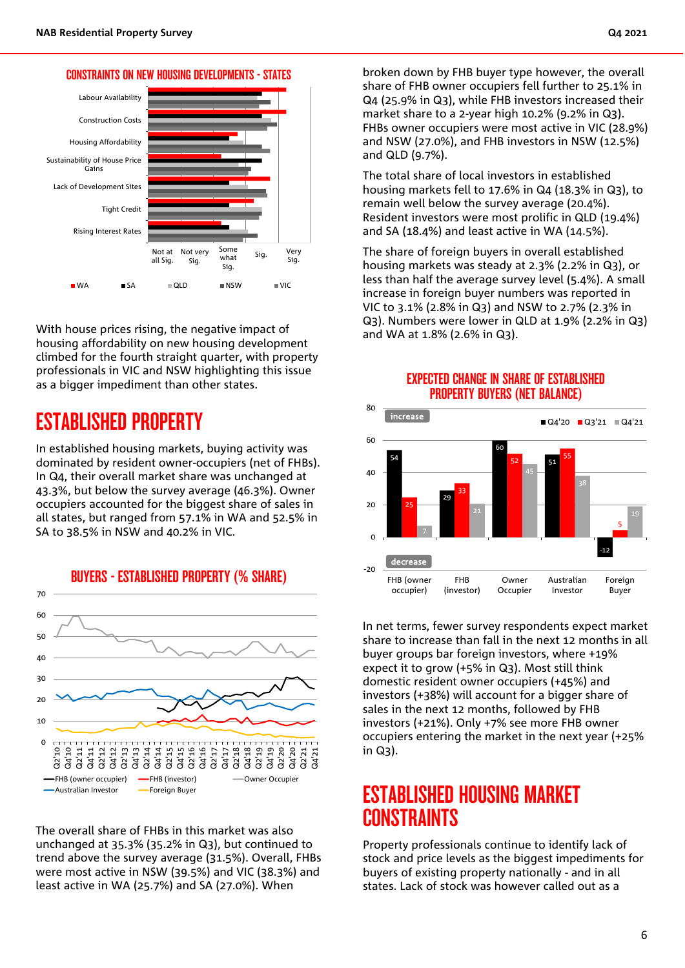



With house prices rising, the negative impact of housing affordability on new housing development climbed for the fourth straight quarter, with property professionals in VIC and NSW highlighting this issue as a bigger impediment than other states.

### ESTABLISHED PROPERTY

In established housing markets, buying activity was dominated by resident owner-occupiers (net of FHBs). In Q4, their overall market share was unchanged at 43.3%, but below the survey average (46.3%). Owner occupiers accounted for the biggest share of sales in all states, but ranged from 57.1% in WA and 52.5% in SA to 38.5% in NSW and 40.2% in VIC.



The overall share of FHBs in this market was also unchanged at 35.3% (35.2% in Q3), but continued to trend above the survey average (31.5%). Overall, FHBs were most active in NSW (39.5%) and VIC (38.3%) and least active in WA (25.7%) and SA (27.0%). When

broken down by FHB buyer type however, the overall share of FHB owner occupiers fell further to 25.1% in Q4 (25.9% in Q3), while FHB investors increased their market share to a 2-year high 10.2% (9.2% in Q3). FHBs owner occupiers were most active in VIC (28.9%) and NSW (27.0%), and FHB investors in NSW (12.5%) and QLD (9.7%).

The total share of local investors in established housing markets fell to 17.6% in Q4 (18.3% in Q3), to remain well below the survey average (20.4%). Resident investors were most prolific in QLD (19.4%) and SA (18.4%) and least active in WA (14.5%).

The share of foreign buyers in overall established housing markets was steady at 2.3% (2.2% in Q3), or less than half the average survey level (5.4%). A small increase in foreign buyer numbers was reported in VIC to 3.1% (2.8% in Q3) and NSW to 2.7% (2.3% in Q3). Numbers were lower in QLD at 1.9% (2.2% in Q3) and WA at 1.8% (2.6% in Q3).



In net terms, fewer survey respondents expect market share to increase than fall in the next 12 months in all buyer groups bar foreign investors, where +19% expect it to grow (+5% in Q3). Most still think domestic resident owner occupiers (+45%) and investors (+38%) will account for a bigger share of sales in the next 12 months, followed by FHB investors (+21%). Only +7% see more FHB owner occupiers entering the market in the next year (+25% in Q3).

### ESTABLISHED HOUSING MARKET **CONSTRAINTS**

Property professionals continue to identify lack of stock and price levels as the biggest impediments for buyers of existing property nationally - and in all states. Lack of stock was however called out as a

#### EXPECTED CHANGE IN SHARE OF ESTABLISHED PROPERTY BUYERS (NET BALANCE)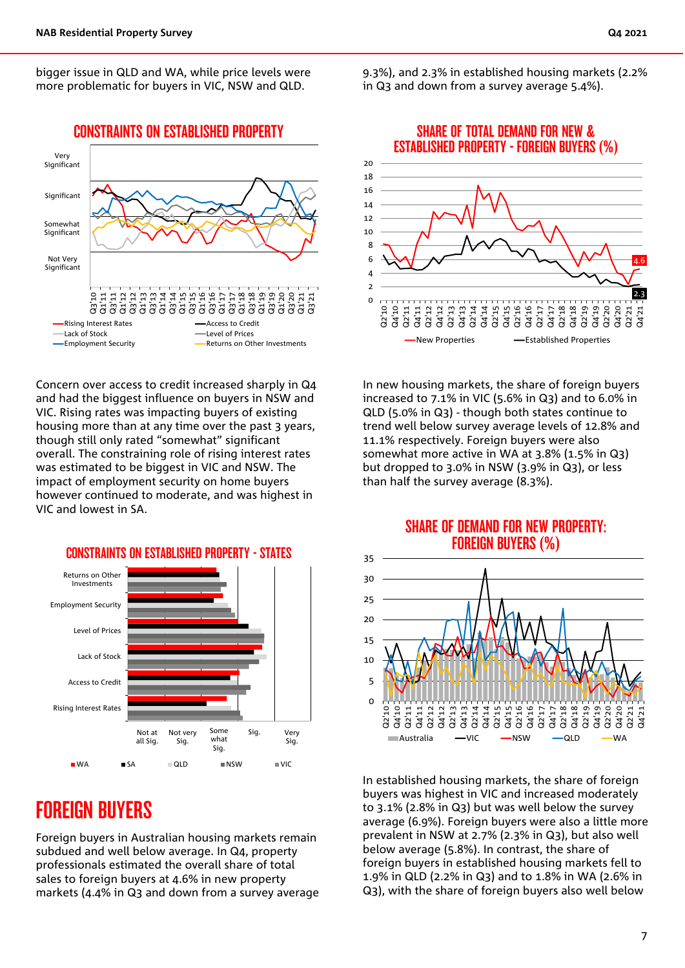bigger issue in QLD and WA, while price levels were more problematic for buyers in VIC, NSW and QLD.



Concern over access to credit increased sharply in Q4 and had the biggest influence on buyers in NSW and VIC. Rising rates was impacting buyers of existing housing more than at any time over the past 3 years, though still only rated "somewhat" significant overall. The constraining role of rising interest rates was estimated to be biggest in VIC and NSW. The impact of employment security on home buyers however continued to moderate, and was highest in VIC and lowest in SA.



### FOREIGN BUYERS

Foreign buyers in Australian housing markets remain subdued and well below average. In Q4, property professionals estimated the overall share of total sales to foreign buyers at 4.6% in new property markets (4.4% in Q3 and down from a survey average 9.3%), and 2.3% in established housing markets (2.2% in Q3 and down from a survey average 5.4%).



In new housing markets, the share of foreign buyers increased to 7.1% in VIC (5.6% in Q3) and to 6.0% in QLD (5.0% in Q3) - though both states continue to trend well below survey average levels of 12.8% and 11.1% respectively. Foreign buyers were also somewhat more active in WA at 3.8% (1.5% in Q3) but dropped to 3.0% in NSW (3.9% in Q3), or less than half the survey average (8.3%).

#### SHARE OF DEMAND FOR NEW PROPERTY: FOREIGN BUYERS (%)



In established housing markets, the share of foreign buyers was highest in VIC and increased moderately to 3.1% (2.8% in Q3) but was well below the survey average (6.9%). Foreign buyers were also a little more prevalent in NSW at 2.7% (2.3% in Q3), but also well below average (5.8%). In contrast, the share of foreign buyers in established housing markets fell to 1.9% in QLD (2.2% in Q3) and to 1.8% in WA (2.6% in Q3), with the share of foreign buyers also well below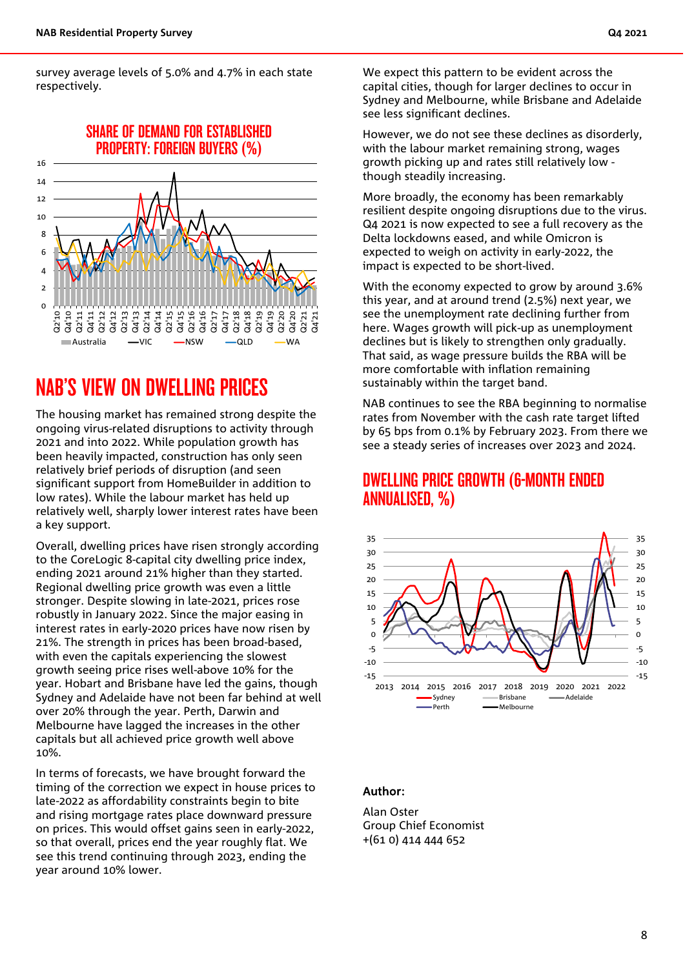survey average levels of 5.0% and 4.7% in each state respectively.



### NAB'S VIEW ON DWELLING PRICES

The housing market has remained strong despite the ongoing virus-related disruptions to activity through 2021 and into 2022. While population growth has been heavily impacted, construction has only seen relatively brief periods of disruption (and seen significant support from HomeBuilder in addition to low rates). While the labour market has held up relatively well, sharply lower interest rates have been a key support.

Overall, dwelling prices have risen strongly according to the CoreLogic 8-capital city dwelling price index, ending 2021 around 21% higher than they started. Regional dwelling price growth was even a little stronger. Despite slowing in late-2021, prices rose robustly in January 2022. Since the major easing in interest rates in early-2020 prices have now risen by 21%. The strength in prices has been broad-based, with even the capitals experiencing the slowest growth seeing price rises well-above 10% for the year. Hobart and Brisbane have led the gains, though Sydney and Adelaide have not been far behind at well over 20% through the year. Perth, Darwin and Melbourne have lagged the increases in the other capitals but all achieved price growth well above 10%.

In terms of forecasts, we have brought forward the timing of the correction we expect in house prices to late-2022 as affordability constraints begin to bite and rising mortgage rates place downward pressure on prices. This would offset gains seen in early-2022, so that overall, prices end the year roughly flat. We see this trend continuing through 2023, ending the year around 10% lower.

We expect this pattern to be evident across the capital cities, though for larger declines to occur in Sydney and Melbourne, while Brisbane and Adelaide see less significant declines.

However, we do not see these declines as disorderly, with the labour market remaining strong, wages growth picking up and rates still relatively low though steadily increasing.

More broadly, the economy has been remarkably resilient despite ongoing disruptions due to the virus. Q4 2021 is now expected to see a full recovery as the Delta lockdowns eased, and while Omicron is expected to weigh on activity in early-2022, the impact is expected to be short-lived.

With the economy expected to grow by around 3.6% this year, and at around trend (2.5%) next year, we see the unemployment rate declining further from here. Wages growth will pick-up as unemployment declines but is likely to strengthen only gradually. That said, as wage pressure builds the RBA will be more comfortable with inflation remaining sustainably within the target band.

NAB continues to see the RBA beginning to normalise rates from November with the cash rate target lifted by 65 bps from 0.1% by February 2023. From there we see a steady series of increases over 2023 and 2024.

#### DWELLING PRICE GROWTH (6-MONTH ENDED ANNUALISED, %)



#### Author:

Alan Oster Group Chief Economist +(61 0) 414 444 652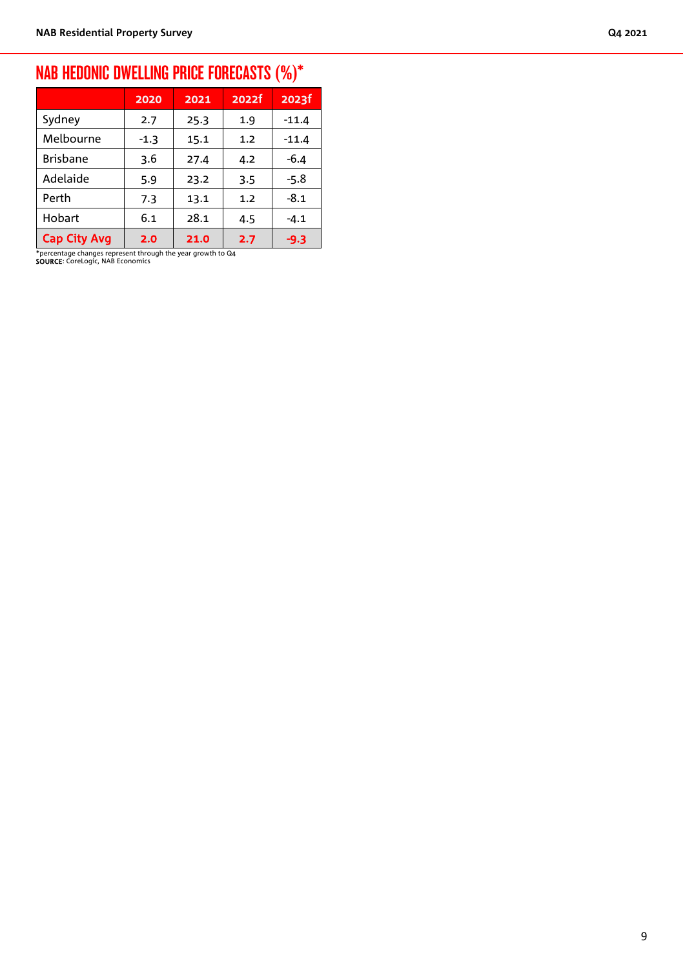### NAB HEDONIC DWELLING PRICE FORECASTS (%)\*

|                     | 2020   | 2021 | 2022f | 2023f   |
|---------------------|--------|------|-------|---------|
| Sydney              | 2.7    | 25.3 | 1.9   | $-11.4$ |
| Melbourne           | $-1.3$ | 15.1 | 1.2   | $-11.4$ |
| <b>Brisbane</b>     | 3.6    | 27.4 | 4.2   | $-6.4$  |
| Adelaide            | 5.9    | 23.2 | 3.5   | $-5.8$  |
| Perth               | 7.3    | 13.1 | 1.2   | $-8.1$  |
| Hobart              | 6.1    | 28.1 | 4.5   | $-4.1$  |
| <b>Cap City Avg</b> | 2.0    | 21.0 | 2.7   | -9.3    |

\*percentage changes represent through the year growth to Q4 SOURCE: CoreLogic, NAB Economics